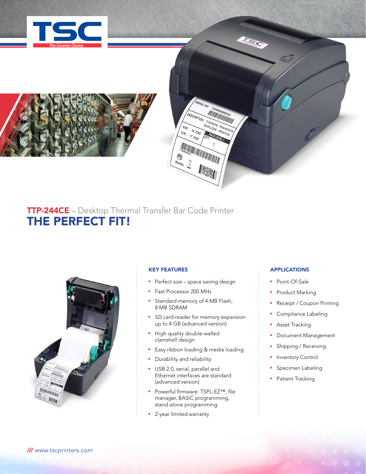



# TTP-244CE – Desktop Thermal Transfer Bar Code Printer THE PERFECT FIT!



# KEY FEATURES

**Perfect size - space saving design** 

RIAL NO

THERMAL TRANSFER HERMAL TRANSFE

PACKLEVE

**DESCRIPTION** 

**ATTENTION AND ANNUAL PROPERTY AND ADDRESS** 

N.W. 14 KGS G.W. 14 KGS

**TAMBOODS!** 

- Fast Processor 200 MHz
- **F** Standard memory of 4 MB Flash, 8 MB SDRAM
- **•** SD card reader for memory expansion up to 4 GB (advanced version)
- **High quality double-walled** clamshell design
- **Easy ribbon loading & media loading**
- **•** Durability and reliability
- **USB 2.0, serial, parallel and** Ethernet interfaces are standard (advanced version)
- Powerful firmware: TSPL-EZ™, file manager, BASIC programming, stand-alone programming
- **2**-year limited warranty

# APPLICATIONS

**ASSES** 

- Point-Of-Sale
- Product Marking
- Receipt / Coupon Printing
- Compliance Labeling
- **Asset Tracking**
- **•** Document Management
- **-** Shipping / Receiving
- **•** Inventory Control
- **Specimen Labeling**
- Patient Tracking